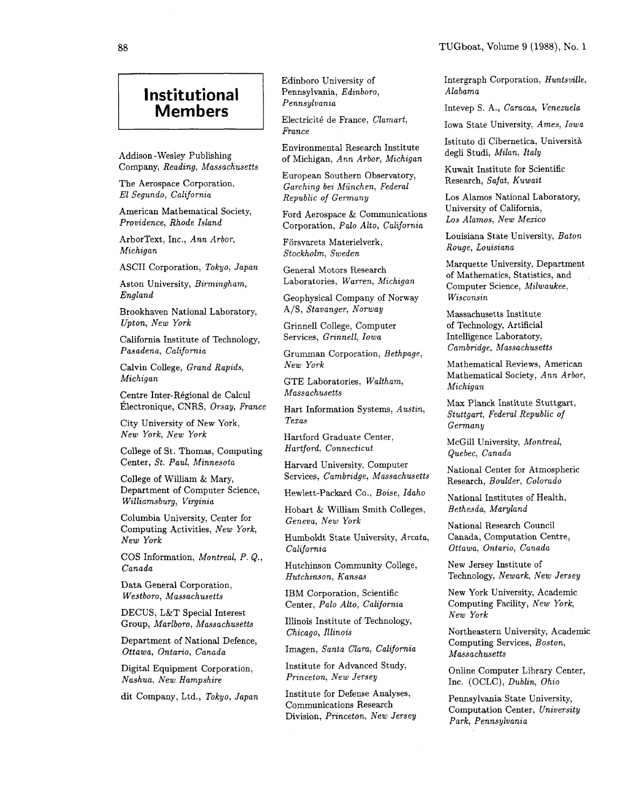## **Institutional Members**

Company, Reading, Massachusetts

The Aerospace Corporation,<br>El Segundo, California

American Mathematical Society, Providence, Rhode Island

ArborText, Inc., Ann Arbor, Michigan

ASCII Corporation, Tokyo, Japan

England Geophysical Company of Norway

Brookhaven National Laboratory, A/S, Stavanger, Norway Upton, New York

California Institute of Technology, Pasadena, California

Calvin College, Grand Rapids, Michigan GTE Laboratories, Waltham,

Centre Inter-Régional de Calcul Massachusetts Electronique, CNRS, Orsay, France Hart Information Systems Austin Max Planck Institute Stuttgart,

City University of New York, Texas New York, New York

College of St. Thomas, Computing Center, St. Paul, Minnesota

College of William & Mary, Department of Computer Science, Williamsburg, Virginia

Columbia University, Center for  $Geneva, New York$ Computing Activities, New York, New York

COS Information, Montreal, P. Q., Canada

Data General Corporation,

DECUS, L&T Special Interest

Department of National Defence, Ottawa, Ontario, Canada Imagen, Santa Clara, California

Digital Equipment Corporation, Nashua, New Hampshire

Edinboro University of Pennsylvania, Edinboro,

Electricit6 de France, Clamart, Electricite de France, Clamart,<br>France Iowa State University, Ames, Iowa

Environmental Research Institute Addison - Wesley Publishing of Michigan, Ann Arbor, Michigan

> European Southern Observatory, Garching bei Munchen, Federal Republic of Germany

Ford Aerospace & Communications Corporation, Palo Alto, California

Forsvarets Materielverk, Stockholm, Sweden

General Motors Research Aston University, Birmingham, Laboratories, Warren, Michigan

Grinnell College, Computer Services, Grinnell, Iowa

Grumman Corporation, Bethpage,<br>New York

Hart Information Systems, Austin,

Hartford Graduate Center,

Harvard University, Computer Services, Cambridge, Massachusetts National Center for Atmospheric<br>
Services, Cambridge, Massachusetts national Paulden Colorade

Hewlett-Packard Co., Boise, Idaho National Institutes of Health,

Hobart & William Smith Colleges,

Humboldt State University, Arcata, California

Hutchinson Community College, Hutchinson, Kansas

Westboro, Massachusetts IBM Corporation, Scientific Center, Palo Alto, California

Group, Marlboro, Massachusetts Illinois Institute of Technology,<br>
Chicago, Illinois

Institute for Advanced Study, Princeton, New Jersey

Institute for Defense Analyses, Communications Research Division, Princeton, New Jersey dit Company, Ltd., Tokyo, Japan Institute for Detense Analyses, Pennsylvania State University,

Intergraph Corporation, Huntsville, Alabama

**Members** Intevep S. A., Caracas, Venezuela

Istituto di Cibernetica, Università degli Studi, Milan, Italy

Kuwait Institute for Scientific Research, Safat, Kuwait

Los Alamos National Laboratory, University of California, Los Alamos, New Mexico

Louisiana State University, Baton Rouge, Louisiana

Marquette University, Department of Mathematics, Statistics, and Computer Science, Milwaukee, Wisconsin

Massachusetts Institute of Technology, Artificial Intelligence Laboratory, Cambridge, Massachusetts

Mathematical Reviews, American Mathematical Society, Ann Arbor, Michigan

Stuttgart, Federal Republic of Germany

Hartford, Connecticut McGill University, Montreal, Quebec, Canada

Research, Boulder, Colorado

Bethesda, Maryland

National Research Council Canada, Computation Centre, Ottawa, Ontario, Canada

New Jersey Institute of Technology, Newark, New Jersey

New York University, Academic Computing Facility, New York, New York

Northeastern University, Academic Computing Services, Boston, Massachusetts

Online Computer Library Center, Inc. (OCLC), Dublin, Ohio

Computation Center, University Park, Pennsylvania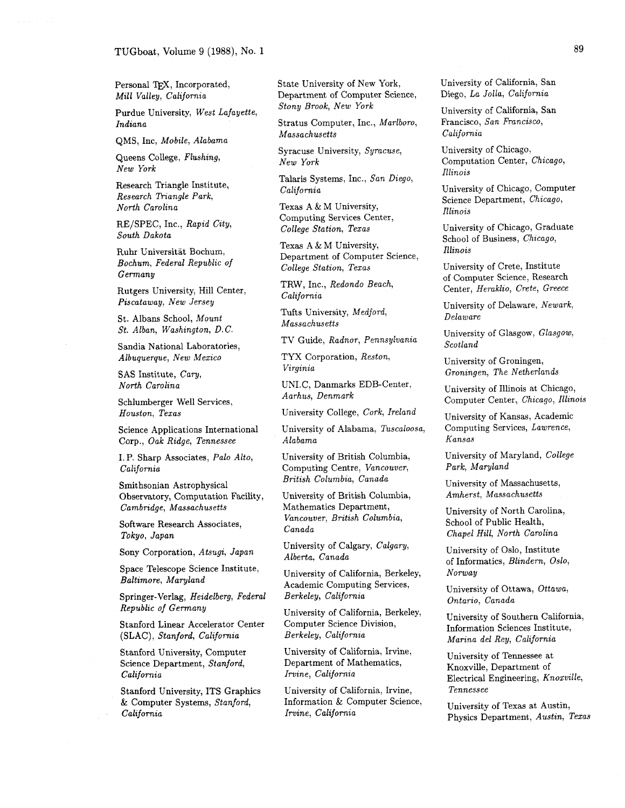Personal TFX, Incorporated, Mill Valley, California

Purdue University, West Lafayette, Indiana

QMS, Inc, Mobile, Alabama

Queens College, Flushing, New York

Research Triangle Institute, Research Triangle Park, North Carolina

RE/SPEC, Inc., Rapid City, South Dakota

Ruhr Universitat Bochum, Bochum, Federal Republic of Germany

Rutgers University, Hill Center, Piscataway, New Jersey

St. Albans School, Mount St. Alban, Washington, D.C.

Sandia National Laboratories, Albuquerque, New Mexico

SAS Institute, Cary, North Carolina

Schlumberger Well Services, Houston, Texas

Science Applications International Corp., Oak Ridge, Tennessee

I. P. Sharp Associates, Palo Alto, California

Smithsonian Astrophysical Observatory, Computation Facility, Cambridge, Massachusetts

Software Research Associates, Tokyo, Japan

Sony Corporation, Atsugi, Japan

Space Telescope Science Institute, Baltimore, Maryland

Springer-Verlag, Heidelberg, Federal Republic of Gemany

Stanford Linear Accelerator Center (SLAC), Stanford, California

Stanford University, Computer Science Department, Stanford, California

Stanford University, ITS Graphics & Computer Systems, Stanford, California

State University of New York, Department of Computer Science, Stony Brook, New York

Stratus Computer, Inc., Marlboro, Massachusetts

Syracuse University, Syracuse, New York

Talaris Systems, Inc., San Diego, California

Texas A & M University, Computing Services Center, College Station, Texas

Texas A & M University, Department of Computer Science, College Station, Texas

TRW, Inc., Redondo Beach, California

Tufts University, Medford, Massachusetts

TV Guide, Radnor, Pennsylvania

TYX Corporation, Reston, Virginia

UNI.C, Danmarks EDB-Center, Aarhus, Denmark

University College, Cork, Ireland

University of Alabama, Tuscaloosa, Alabama

University of British Columbia, Computing Centre, Vancouver, British Columbia, Canada

University of British Columbia, Mathematics Department, Vancouver, British Columbia, Canada

University of Calgary, Calgary, Alberta, Canada

University of California, Berkeley, Academic Computing Services, Berkeley, California

University of California, Berkeley, Computer Science Division, Berkeley, California

University of California, Irvine, Department of Mathematics, Irvine, California

University of California, Irvine, Information & Computer Science, Irvine, California

University of California, San Diego, La Jolla, California

University of California, San Francisco, San Francisco, California

University of Chicago, Computation Center, Chicago, Illinois

University of Chicago, Computer Science Department, Chicago, Illinois

University of Chicago, Graduate School of Business, Chicago, Illinois

University of Crete, Institute of Computer Science, Research Center, Heraklio, Crete, Greece

University of Delaware, Newark, Delaware

University of Glasgow, Glasgow, Scotland

University of Groningen, Groningen, The Netherlands

University of Illinois at Chicago, Computer Center, Chicago, Illinois

University of Kansas, Academic Computing Services, Lawrence, Kansas

University of Maryland, College Park, Maryland

University of Massachusetts, Amherst, Massachusetts

University of North Carolina, School of Public Health, Chapel Hill, North Carolina

University of Oslo, Institute of Informatics, Blindern, Oslo, Norway

University of Ottawa, Ottawa, Ontario, Canada

University of Southern California, Information Sciences Institute, Marina del Rey, California

University of Tennessee at Knoxville, Department of Electrical Engineering, Knoxville, Tennessee

University of Texas at Austin, Physics Department, Austin, Texas